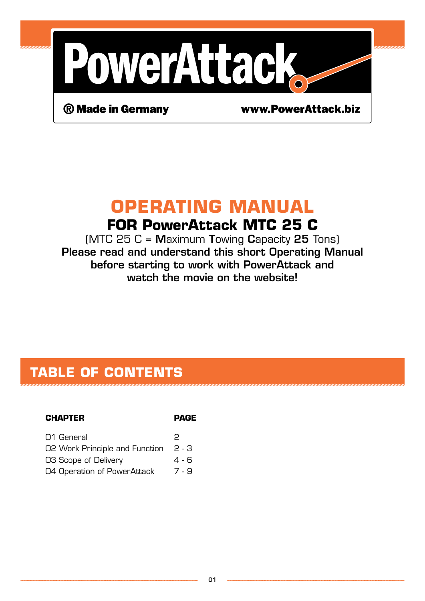

® Made in Germany

www.PowerAttack.biz

## **Operating Manual For PowerAttack MTC 25 C**

 $(MTC 25 C =$  Maximum Towing Capacity 25 Tons) Please read and understand this short Operating Manual before starting to work with PowerAttack and watch the movie on the website!

## **Table of contents**

#### **Chapter Page**

| 01 General                     | P      |
|--------------------------------|--------|
| O2 Work Principle and Function | -2 - 3 |
| O3 Scope of Delivery           | 4 - 6  |
| 04 Operation of PowerAttack    | 7 - 9  |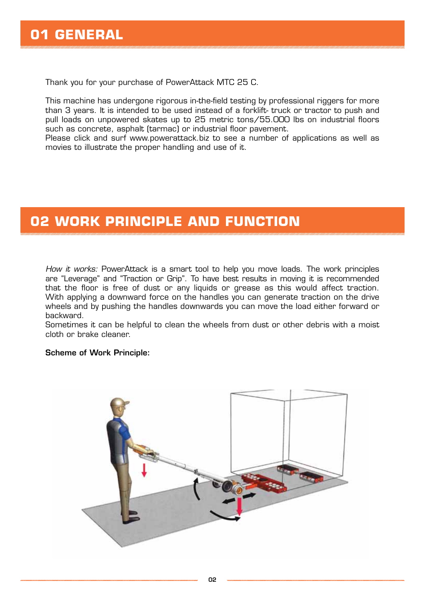Thank you for your purchase of PowerAttack MTC 25 C.

This machine has undergone rigorous in-the-field testing by professional riggers for more than 3 years. It is intended to be used instead of a forklift- truck or tractor to push and pull loads on unpowered skates up to 25 metric tons/55.000 lbs on industrial floors such as concrete, asphalt (tarmac) or industrial floor pavement.

Please click and surf www.powerattack.biz to see a number of applications as well as movies to illustrate the proper handling and use of it.

## **02 Work Principle and Function**

*How it works:* PowerAttack is a smart tool to help you move loads. The work principles are "Leverage" and "Traction or Grip". To have best results in moving it is recommended that the floor is free of dust or any liquids or grease as this would affect traction. With applying a downward force on the handles you can generate traction on the drive wheels and by pushing the handles downwards you can move the load either forward or backward.

Sometimes it can be helpful to clean the wheels from dust or other debris with a moist cloth or brake cleaner.

#### Scheme of Work Principle:

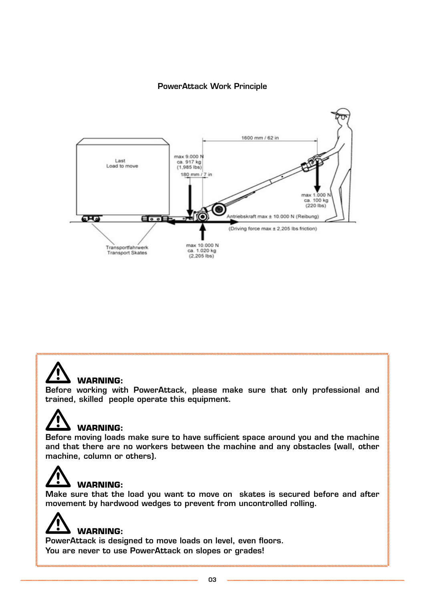#### PowerAttack Work Principle





#### **WARNING:**

Before working with PowerAttack, please make sure that only professional and trained, skilled people operate this equipment.



#### **WARNING:**

Before moving loads make sure to have sufficient space around you and the machine and that there are no workers between the machine and any obstacles (wall, other machine, column or others).

## **WARNING:**

Make sure that the load you want to move on skates is secured before and after movement by hardwood wedges to prevent from uncontrolled rolling.

# **WARNING:**

PowerAttack is designed to move loads on level, even floors. You are never to use PowerAttack on slopes or grades!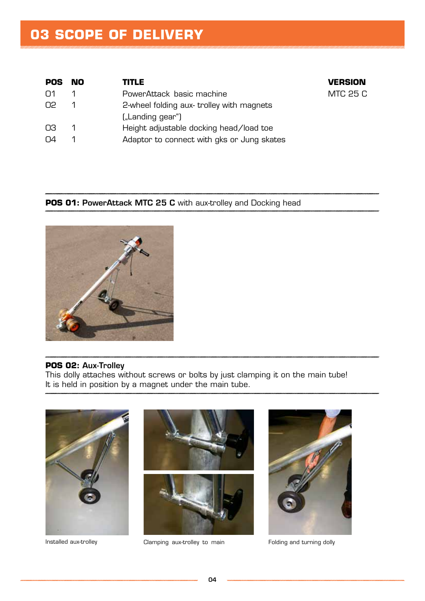## **03 Scope of Delivery**

| <b>POS</b> | - NO           | <b>TITLE</b>                               | <b>VERSION</b> |
|------------|----------------|--------------------------------------------|----------------|
| $\Omega$ 1 |                | PowerAttack basic machine                  | MTC 25 C       |
| O2         | -1             | 2-wheel folding aux-trolley with magnets   |                |
|            |                | ("Landing gear")                           |                |
| OЗ         | $\overline{1}$ | Height adjustable docking head/load toe    |                |
| O4         |                | Adaptor to connect with gks or Jung skates |                |

#### **POS 01: PowerAttack MTC 25 C** with aux-trolley and Docking head



#### **POS 02:** Aux-Trolley

This dolly attaches without screws or bolts by just clamping it on the main tube! It is held in position by a magnet under the main tube.

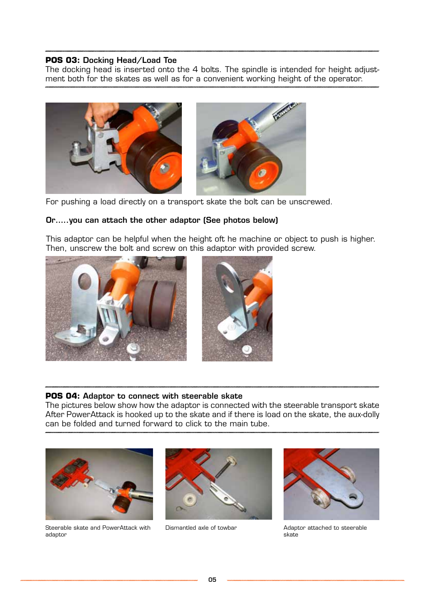#### **POS 03:** Docking Head/Load Toe

The docking head is inserted onto the 4 bolts. The spindle is intended for height adjustment both for the skates as well as for a convenient working height of the operator.



For pushing a load directly on a transport skate the bolt can be unscrewed.

#### Or…..you can attach the other adaptor (See photos below)

This adaptor can be helpful when the height oft he machine or object to push is higher. Then, unscrew the bolt and screw on this adaptor with provided screw.





#### **POS 04:** Adaptor to connect with steerable skate

The pictures below show how the adaptor is connected with the steerable transport skate After PowerAttack is hooked up to the skate and if there is load on the skate, the aux-dolly can be folded and turned forward to click to the main tube.



Steerable skate and PowerAttack with adaptor





Dismantled axle of towbar **Adaptor attached to steerable** skate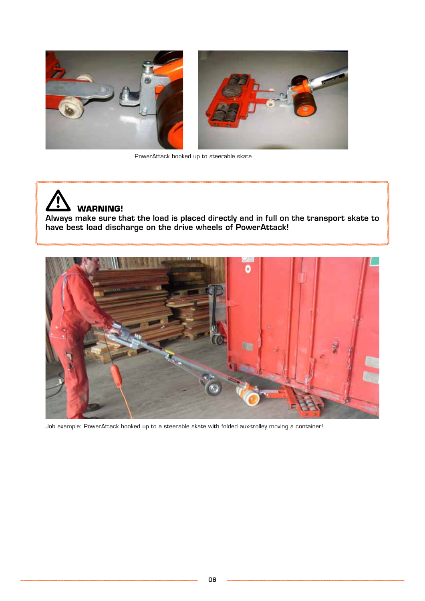

PowerAttack hooked up to steerable skate

# **WARNING!**

Always make sure that the load is placed directly and in full on the transport skate to have best load discharge on the drive wheels of PowerAttack!



Job example: PowerAttack hooked up to a steerable skate with folded aux-trolley moving a container!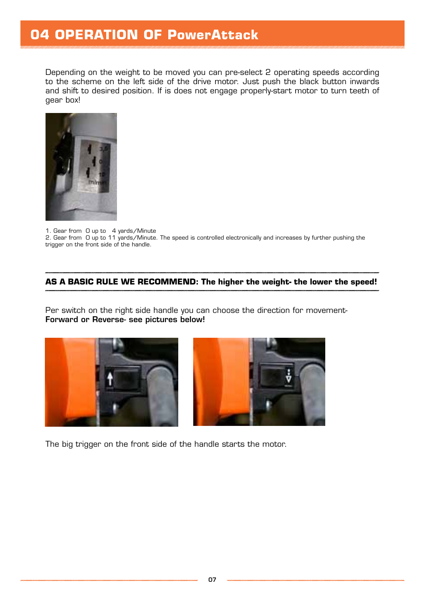### **04 Operation of PowerAttack**

Depending on the weight to be moved you can pre-select 2 operating speeds according to the scheme on the left side of the drive motor. Just push the black button inwards and shift to desired position. If is does not engage properly-start motor to turn teeth of gear box!



1. Gear from 0 up to 4 yards/Minute

2. Gear from O up to 11 yards/Minute. The speed is controlled electronically and increases by further pushing the trigger on the front side of the handle.

#### **As a basic rule we recommend: The higher the weight- the lower the speed!**

Per switch on the right side handle you can choose the direction for movement-Forward or Reverse- see pictures below!





The big trigger on the front side of the handle starts the motor.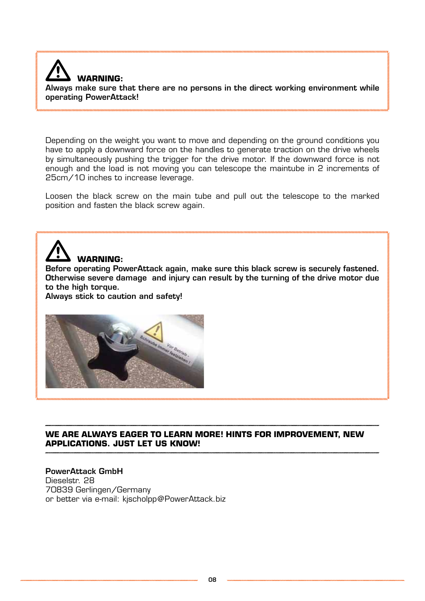

Always make sure that there are no persons in the direct working environment while operating PowerAttack!

Depending on the weight you want to move and depending on the ground conditions you have to apply a downward force on the handles to generate traction on the drive wheels by simultaneously pushing the trigger for the drive motor. If the downward force is not enough and the load is not moving you can telescope the maintube in 2 increments of 25cm/10 inches to increase leverage.

Loosen the black screw on the main tube and pull out the telescope to the marked position and fasten the black screw again.

# **Warning:**

Before operating PowerAttack again, make sure this black screw is securely fastened. Otherwise severe damage and injury can result by the turning of the drive motor due to the high torque.

Always stick to caution and safety!



**We are always eager to learn more! Hints for improvement, new applications. just let us know!**

#### PowerAttack GmbH Dieselstr. 28 70839 Gerlingen/Germany or better via e-mail: kjscholpp@PowerAttack.biz